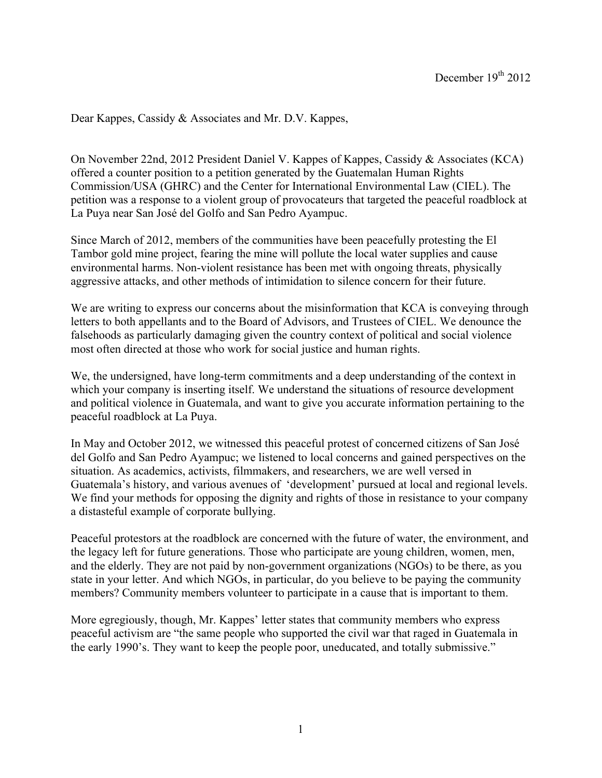Dear Kappes, Cassidy & Associates and Mr. D.V. Kappes,

On November 22nd, 2012 President Daniel V. Kappes of Kappes, Cassidy & Associates (KCA) offered a counter position to a petition generated by the Guatemalan Human Rights Commission/USA (GHRC) and the Center for International Environmental Law (CIEL). The petition was a response to a violent group of provocateurs that targeted the peaceful roadblock at La Puya near San José del Golfo and San Pedro Ayampuc.

Since March of 2012, members of the communities have been peacefully protesting the El Tambor gold mine project, fearing the mine will pollute the local water supplies and cause environmental harms. Non-violent resistance has been met with ongoing threats, physically aggressive attacks, and other methods of intimidation to silence concern for their future.

We are writing to express our concerns about the misinformation that KCA is conveying through letters to both appellants and to the Board of Advisors, and Trustees of CIEL. We denounce the falsehoods as particularly damaging given the country context of political and social violence most often directed at those who work for social justice and human rights.

We, the undersigned, have long-term commitments and a deep understanding of the context in which your company is inserting itself. We understand the situations of resource development and political violence in Guatemala, and want to give you accurate information pertaining to the peaceful roadblock at La Puya.

In May and October 2012, we witnessed this peaceful protest of concerned citizens of San José del Golfo and San Pedro Ayampuc; we listened to local concerns and gained perspectives on the situation. As academics, activists, filmmakers, and researchers, we are well versed in Guatemala's history, and various avenues of 'development' pursued at local and regional levels. We find your methods for opposing the dignity and rights of those in resistance to your company a distasteful example of corporate bullying.

Peaceful protestors at the roadblock are concerned with the future of water, the environment, and the legacy left for future generations. Those who participate are young children, women, men, and the elderly. They are not paid by non-government organizations (NGOs) to be there, as you state in your letter. And which NGOs, in particular, do you believe to be paying the community members? Community members volunteer to participate in a cause that is important to them.

More egregiously, though, Mr. Kappes' letter states that community members who express peaceful activism are "the same people who supported the civil war that raged in Guatemala in the early 1990's. They want to keep the people poor, uneducated, and totally submissive."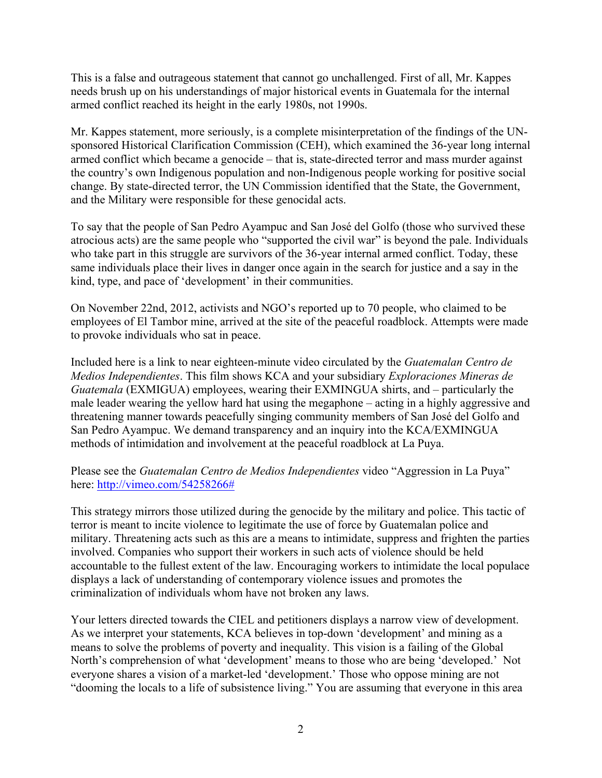This is a false and outrageous statement that cannot go unchallenged. First of all, Mr. Kappes needs brush up on his understandings of major historical events in Guatemala for the internal armed conflict reached its height in the early 1980s, not 1990s.

Mr. Kappes statement, more seriously, is a complete misinterpretation of the findings of the UNsponsored Historical Clarification Commission (CEH), which examined the 36-year long internal armed conflict which became a genocide – that is, state-directed terror and mass murder against the country's own Indigenous population and non-Indigenous people working for positive social change. By state-directed terror, the UN Commission identified that the State, the Government, and the Military were responsible for these genocidal acts.

To say that the people of San Pedro Ayampuc and San José del Golfo (those who survived these atrocious acts) are the same people who "supported the civil war" is beyond the pale. Individuals who take part in this struggle are survivors of the 36-year internal armed conflict. Today, these same individuals place their lives in danger once again in the search for justice and a say in the kind, type, and pace of 'development' in their communities.

On November 22nd, 2012, activists and NGO's reported up to 70 people, who claimed to be employees of El Tambor mine, arrived at the site of the peaceful roadblock. Attempts were made to provoke individuals who sat in peace.

Included here is a link to near eighteen-minute video circulated by the *Guatemalan Centro de Medios Independientes*. This film shows KCA and your subsidiary *Exploraciones Mineras de Guatemala* (EXMIGUA) employees, wearing their EXMINGUA shirts, and – particularly the male leader wearing the yellow hard hat using the megaphone – acting in a highly aggressive and threatening manner towards peacefully singing community members of San José del Golfo and San Pedro Ayampuc. We demand transparency and an inquiry into the KCA/EXMINGUA methods of intimidation and involvement at the peaceful roadblock at La Puya.

Please see the *Guatemalan Centro de Medios Independientes* video "Aggression in La Puya" here: http://vimeo.com/54258266#

This strategy mirrors those utilized during the genocide by the military and police. This tactic of terror is meant to incite violence to legitimate the use of force by Guatemalan police and military. Threatening acts such as this are a means to intimidate, suppress and frighten the parties involved. Companies who support their workers in such acts of violence should be held accountable to the fullest extent of the law. Encouraging workers to intimidate the local populace displays a lack of understanding of contemporary violence issues and promotes the criminalization of individuals whom have not broken any laws.

Your letters directed towards the CIEL and petitioners displays a narrow view of development. As we interpret your statements, KCA believes in top-down 'development' and mining as a means to solve the problems of poverty and inequality. This vision is a failing of the Global North's comprehension of what 'development' means to those who are being 'developed.' Not everyone shares a vision of a market-led 'development.' Those who oppose mining are not "dooming the locals to a life of subsistence living." You are assuming that everyone in this area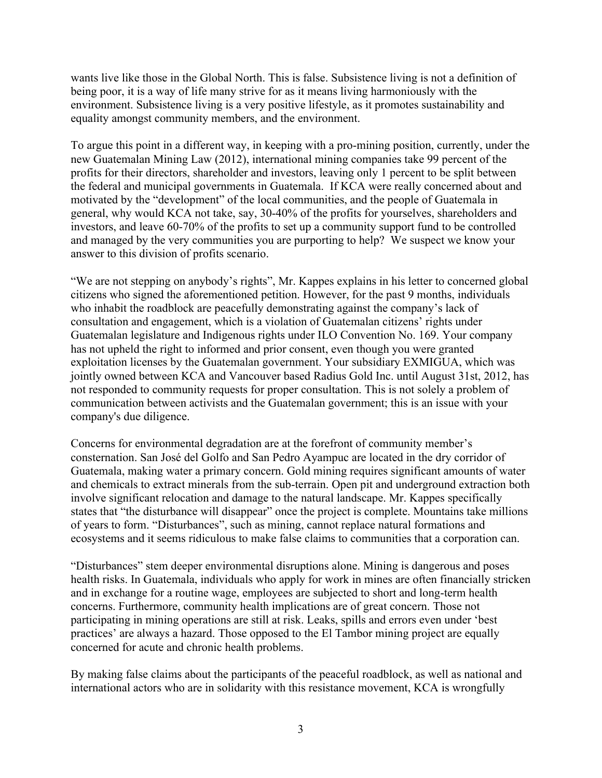wants live like those in the Global North. This is false. Subsistence living is not a definition of being poor, it is a way of life many strive for as it means living harmoniously with the environment. Subsistence living is a very positive lifestyle, as it promotes sustainability and equality amongst community members, and the environment.

To argue this point in a different way, in keeping with a pro-mining position, currently, under the new Guatemalan Mining Law (2012), international mining companies take 99 percent of the profits for their directors, shareholder and investors, leaving only 1 percent to be split between the federal and municipal governments in Guatemala. If KCA were really concerned about and motivated by the "development" of the local communities, and the people of Guatemala in general, why would KCA not take, say, 30-40% of the profits for yourselves, shareholders and investors, and leave 60-70% of the profits to set up a community support fund to be controlled and managed by the very communities you are purporting to help? We suspect we know your answer to this division of profits scenario.

"We are not stepping on anybody's rights", Mr. Kappes explains in his letter to concerned global citizens who signed the aforementioned petition. However, for the past 9 months, individuals who inhabit the roadblock are peacefully demonstrating against the company's lack of consultation and engagement, which is a violation of Guatemalan citizens' rights under Guatemalan legislature and Indigenous rights under ILO Convention No. 169. Your company has not upheld the right to informed and prior consent, even though you were granted exploitation licenses by the Guatemalan government. Your subsidiary EXMIGUA, which was jointly owned between KCA and Vancouver based Radius Gold Inc. until August 31st, 2012, has not responded to community requests for proper consultation. This is not solely a problem of communication between activists and the Guatemalan government; this is an issue with your company's due diligence.

Concerns for environmental degradation are at the forefront of community member's consternation. San José del Golfo and San Pedro Ayampuc are located in the dry corridor of Guatemala, making water a primary concern. Gold mining requires significant amounts of water and chemicals to extract minerals from the sub-terrain. Open pit and underground extraction both involve significant relocation and damage to the natural landscape. Mr. Kappes specifically states that "the disturbance will disappear" once the project is complete. Mountains take millions of years to form. "Disturbances", such as mining, cannot replace natural formations and ecosystems and it seems ridiculous to make false claims to communities that a corporation can.

"Disturbances" stem deeper environmental disruptions alone. Mining is dangerous and poses health risks. In Guatemala, individuals who apply for work in mines are often financially stricken and in exchange for a routine wage, employees are subjected to short and long-term health concerns. Furthermore, community health implications are of great concern. Those not participating in mining operations are still at risk. Leaks, spills and errors even under 'best practices' are always a hazard. Those opposed to the El Tambor mining project are equally concerned for acute and chronic health problems.

By making false claims about the participants of the peaceful roadblock, as well as national and international actors who are in solidarity with this resistance movement, KCA is wrongfully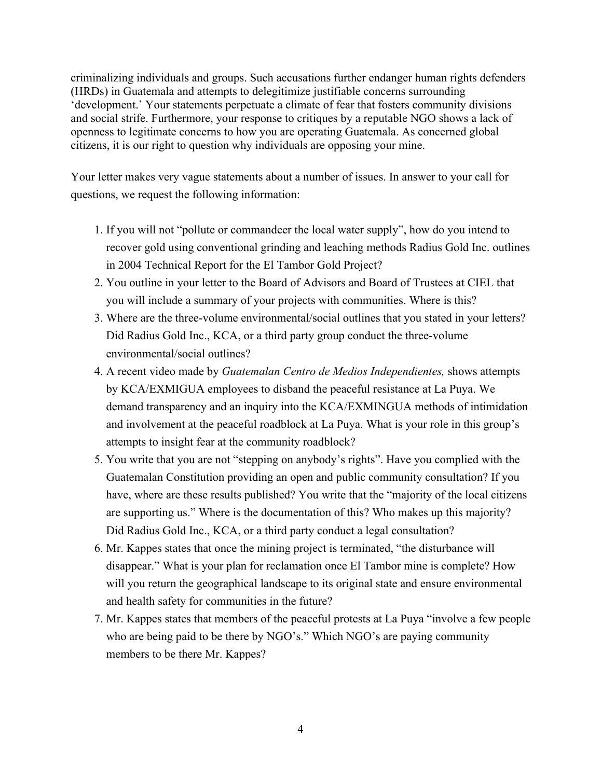criminalizing individuals and groups. Such accusations further endanger human rights defenders (HRDs) in Guatemala and attempts to delegitimize justifiable concerns surrounding 'development.' Your statements perpetuate a climate of fear that fosters community divisions and social strife. Furthermore, your response to critiques by a reputable NGO shows a lack of openness to legitimate concerns to how you are operating Guatemala. As concerned global citizens, it is our right to question why individuals are opposing your mine.

Your letter makes very vague statements about a number of issues. In answer to your call for questions, we request the following information:

- 1. If you will not "pollute or commandeer the local water supply", how do you intend to recover gold using conventional grinding and leaching methods Radius Gold Inc. outlines in 2004 Technical Report for the El Tambor Gold Project?
- 2. You outline in your letter to the Board of Advisors and Board of Trustees at CIEL that you will include a summary of your projects with communities. Where is this?
- 3. Where are the three-volume environmental/social outlines that you stated in your letters? Did Radius Gold Inc., KCA, or a third party group conduct the three-volume environmental/social outlines?
- 4. A recent video made by *Guatemalan Centro de Medios Independientes,* shows attempts by KCA/EXMIGUA employees to disband the peaceful resistance at La Puya. We demand transparency and an inquiry into the KCA/EXMINGUA methods of intimidation and involvement at the peaceful roadblock at La Puya. What is your role in this group's attempts to insight fear at the community roadblock?
- 5. You write that you are not "stepping on anybody's rights". Have you complied with the Guatemalan Constitution providing an open and public community consultation? If you have, where are these results published? You write that the "majority of the local citizens are supporting us." Where is the documentation of this? Who makes up this majority? Did Radius Gold Inc., KCA, or a third party conduct a legal consultation?
- 6. Mr. Kappes states that once the mining project is terminated, "the disturbance will disappear." What is your plan for reclamation once El Tambor mine is complete? How will you return the geographical landscape to its original state and ensure environmental and health safety for communities in the future?
- 7. Mr. Kappes states that members of the peaceful protests at La Puya "involve a few people who are being paid to be there by NGO's." Which NGO's are paying community members to be there Mr. Kappes?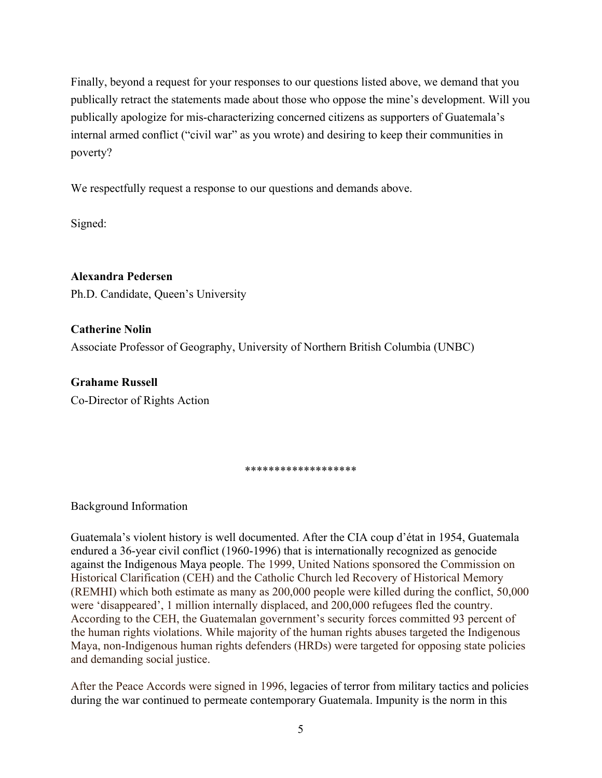Finally, beyond a request for your responses to our questions listed above, we demand that you publically retract the statements made about those who oppose the mine's development. Will you publically apologize for mis-characterizing concerned citizens as supporters of Guatemala's internal armed conflict ("civil war" as you wrote) and desiring to keep their communities in poverty?

We respectfully request a response to our questions and demands above.

Signed:

**Alexandra Pedersen** Ph.D. Candidate, Queen's University

**Catherine Nolin** Associate Professor of Geography, University of Northern British Columbia (UNBC)

**Grahame Russell** Co-Director of Rights Action

## \*\*\*\*\*\*\*\*\*\*\*\*\*\*\*\*\*\*\*

Background Information

Guatemala's violent history is well documented. After the CIA coup d'état in 1954, Guatemala endured a 36-year civil conflict (1960-1996) that is internationally recognized as genocide against the Indigenous Maya people. The 1999, United Nations sponsored the Commission on Historical Clarification (CEH) and the Catholic Church led Recovery of Historical Memory (REMHI) which both estimate as many as 200,000 people were killed during the conflict, 50,000 were 'disappeared', 1 million internally displaced, and 200,000 refugees fled the country. According to the CEH, the Guatemalan government's security forces committed 93 percent of the human rights violations. While majority of the human rights abuses targeted the Indigenous Maya, non-Indigenous human rights defenders (HRDs) were targeted for opposing state policies and demanding social justice.

After the Peace Accords were signed in 1996, legacies of terror from military tactics and policies during the war continued to permeate contemporary Guatemala. Impunity is the norm in this